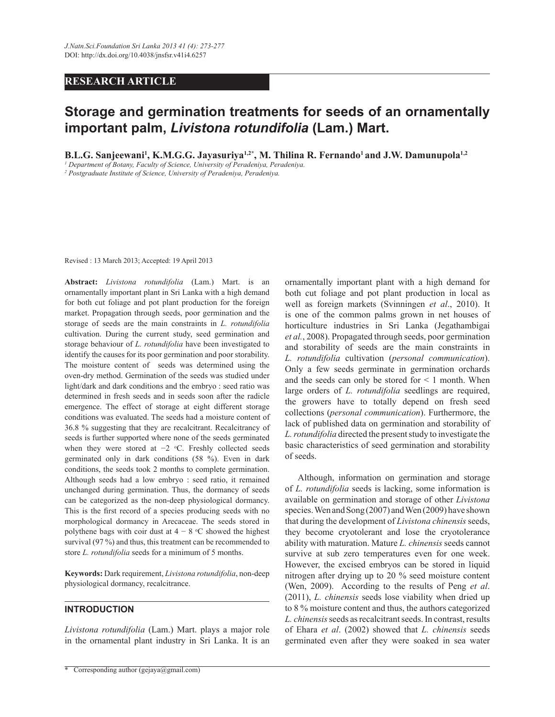## **RESEARCH ARTICLE**

# **Storage and germination treatments for seeds of an ornamentally important palm,** *Livistona rotundifolia* **(Lam.) Mart.**

**B.L.G. Sanjeewani<sup>1</sup> , K.M.G.G. Jayasuriya1,2\*, M. Thilina R. Fernando<sup>1</sup>and J.W. Damunupola1,2**

*1 Department of Botany, Faculty of Science, University of Peradeniya, Peradeniya.*

*2 Postgraduate Institute of Science, University of Peradeniya, Peradeniya.*

Revised : 13 March 2013; Accepted: 19 April 2013

**Abstract:** *Livistona rotundifolia* (Lam.) Mart. is an ornamentally important plant in Sri Lanka with a high demand for both cut foliage and pot plant production for the foreign market. Propagation through seeds, poor germination and the storage of seeds are the main constraints in *L. rotundifolia* cultivation. During the current study, seed germination and storage behaviour of *L. rotundifolia* have been investigated to identify the causes for its poor germination and poor storability. The moisture content of seeds was determined using the oven-dry method. Germination of the seeds was studied under light/dark and dark conditions and the embryo : seed ratio was determined in fresh seeds and in seeds soon after the radicle emergence. The effect of storage at eight different storage conditions was evaluated. The seeds had a moisture content of 36.8 % suggesting that they are recalcitrant. Recalcitrancy of seeds is further supported where none of the seeds germinated when they were stored at −2 °C. Freshly collected seeds germinated only in dark conditions (58 %). Even in dark conditions, the seeds took 2 months to complete germination. Although seeds had a low embryo : seed ratio, it remained unchanged during germination. Thus, the dormancy of seeds can be categorized as the non-deep physiological dormancy. This is the first record of a species producing seeds with no morphological dormancy in Arecaceae. The seeds stored in polythene bags with coir dust at  $4 - 8$  °C showed the highest survival (97 %) and thus, this treatment can be recommended to store *L. rotundifolia* seeds for a minimum of 5 months.

**Keywords:** Dark requirement, *Livistona rotundifolia*, non-deep physiological dormancy, recalcitrance.

#### **INTRODUCTION**

*Livistona rotundifolia* (Lam.) Mart. plays a major role in the ornamental plant industry in Sri Lanka. It is an

ornamentally important plant with a high demand for both cut foliage and pot plant production in local as well as foreign markets (Svinningen *et al*., 2010). It is one of the common palms grown in net houses of horticulture industries in Sri Lanka (Jegathambigai *et al.*, 2008). Propagated through seeds, poor germination and storability of seeds are the main constraints in *L. rotundifolia* cultivation (*personal communication*). Only a few seeds germinate in germination orchards and the seeds can only be stored for  $\leq 1$  month. When large orders of *L. rotundifolia* seedlings are required, the growers have to totally depend on fresh seed collections (*personal communication*). Furthermore, the lack of published data on germination and storability of *L. rotundifolia* directed the present study to investigate the basic characteristics of seed germination and storability of seeds.

 Although, information on germination and storage of *L. rotundifolia* seeds is lacking, some information is available on germination and storage of other *Livistona* species. Wen and Song (2007) and Wen (2009) have shown that during the development of *Livistona chinensis* seeds, they become cryotolerant and lose the cryotolerance ability with maturation. Mature *L. chinensis* seeds cannot survive at sub zero temperatures even for one week. However, the excised embryos can be stored in liquid nitrogen after drying up to 20 % seed moisture content (Wen, 2009). According to the results of Peng *et al*. (2011), *L. chinensis* seeds lose viability when dried up to 8 % moisture content and thus, the authors categorized *L. chinensis* seeds as recalcitrant seeds. In contrast, results of Ehara *et al*. (2002) showed that *L. chinensis* seeds germinated even after they were soaked in sea water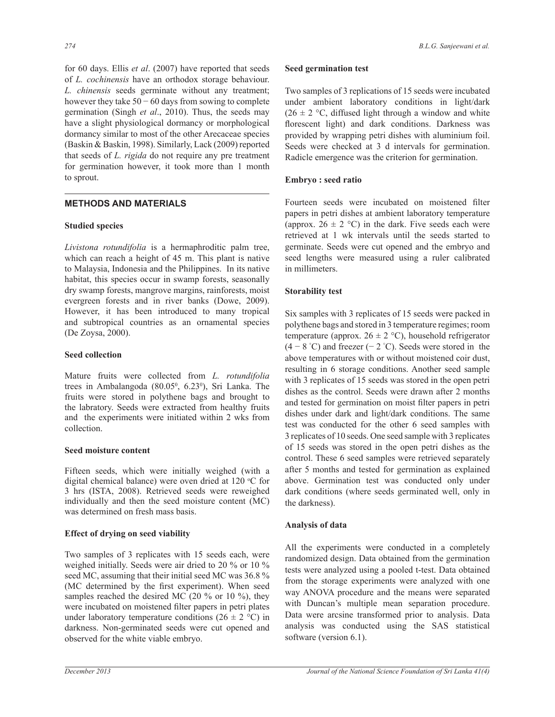for 60 days. Ellis *et al*. (2007) have reported that seeds of *L. cochinensis* have an orthodox storage behaviour. *L. chinensis* seeds germinate without any treatment; however they take  $50 - 60$  days from sowing to complete germination (Singh *et al*., 2010). Thus, the seeds may have a slight physiological dormancy or morphological dormancy similar to most of the other Arecaceae species (Baskin & Baskin, 1998). Similarly, Lack (2009) reported that seeds of *L. rigida* do not require any pre treatment for germination however, it took more than 1 month to sprout.

# **METHODS AND MATERIALS**

## **Studied species**

*Livistona rotundifolia* is a hermaphroditic palm tree, which can reach a height of 45 m. This plant is native to Malaysia, Indonesia and the Philippines. In its native habitat, this species occur in swamp forests, seasonally dry swamp forests, mangrove margins, rainforests, moist evergreen forests and in river banks (Dowe, 2009). However, it has been introduced to many tropical and subtropical countries as an ornamental species (De Zoysa, 2000).

## **Seed collection**

Mature fruits were collected from *L. rotundifolia*  trees in Ambalangoda (80.05<sup>0</sup>, 6.23<sup>0</sup>), Sri Lanka. The fruits were stored in polythene bags and brought to the labratory. Seeds were extracted from healthy fruits and the experiments were initiated within 2 wks from collection.

## **Seed moisture content**

Fifteen seeds, which were initially weighed (with a digital chemical balance) were oven dried at  $120^{\circ}$ C for 3 hrs (ISTA, 2008). Retrieved seeds were reweighed individually and then the seed moisture content (MC) was determined on fresh mass basis.

# **Effect of drying on seed viability**

Two samples of 3 replicates with 15 seeds each, were weighed initially. Seeds were air dried to 20 % or 10 % seed MC, assuming that their initial seed MC was 36.8 % (MC determined by the first experiment). When seed samples reached the desired MC (20 % or 10 %), they were incubated on moistened filter papers in petri plates under laboratory temperature conditions (26  $\pm$  2 °C) in darkness. Non-germinated seeds were cut opened and observed for the white viable embryo.

## **Seed germination test**

Two samples of 3 replications of 15 seeds were incubated under ambient laboratory conditions in light/dark  $(26 \pm 2 \degree C,$  diffused light through a window and white florescent light) and dark conditions. Darkness was provided by wrapping petri dishes with aluminium foil. Seeds were checked at 3 d intervals for germination. Radicle emergence was the criterion for germination.

# **Embryo : seed ratio**

Fourteen seeds were incubated on moistened filter papers in petri dishes at ambient laboratory temperature (approx.  $26 \pm 2$  °C) in the dark. Five seeds each were retrieved at 1 wk intervals until the seeds started to germinate. Seeds were cut opened and the embryo and seed lengths were measured using a ruler calibrated in millimeters.

# **Storability test**

Six samples with 3 replicates of 15 seeds were packed in polythene bags and stored in 3 temperature regimes; room temperature (approx.  $26 \pm 2$  °C), household refrigerator  $(4 - 8$  °C) and freezer  $(-2$  °C). Seeds were stored in the above temperatures with or without moistened coir dust, resulting in 6 storage conditions. Another seed sample with 3 replicates of 15 seeds was stored in the open petri dishes as the control. Seeds were drawn after 2 months and tested for germination on moist filter papers in petri dishes under dark and light/dark conditions. The same test was conducted for the other 6 seed samples with 3 replicates of 10 seeds. One seed sample with 3 replicates of 15 seeds was stored in the open petri dishes as the control. These 6 seed samples were retrieved separately after 5 months and tested for germination as explained above. Germination test was conducted only under dark conditions (where seeds germinated well, only in the darkness).

## **Analysis of data**

All the experiments were conducted in a completely randomized design. Data obtained from the germination tests were analyzed using a pooled t-test. Data obtained from the storage experiments were analyzed with one way ANOVA procedure and the means were separated with Duncan's multiple mean separation procedure. Data were arcsine transformed prior to analysis. Data analysis was conducted using the SAS statistical software (version 6.1).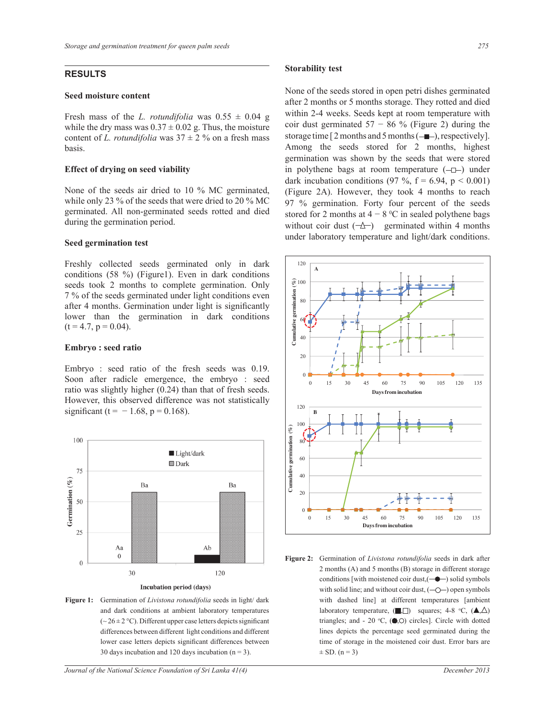### **RESULTS**

#### **Seed moisture content**

Fresh mass of the *L. rotundifolia* was  $0.55 \pm 0.04$  g while the dry mass was  $0.37 \pm 0.02$  g. Thus, the moisture content of *L. rotundifolia* was  $37 \pm 2$  % on a fresh mass basis.

#### **Effect of drying on seed viability**

None of the seeds air dried to 10 % MC germinated, while only 23 % of the seeds that were dried to 20 % MC germinated. All non-germinated seeds rotted and died during the germination period.

#### **Seed germination test**

Freshly collected seeds germinated only in dark conditions (58 %) (Figure1). Even in dark conditions seeds took 2 months to complete germination. Only 7 % of the seeds germinated under light conditions even after 4 months. Germination under light is significantly lower than the germination in dark conditions  $(t = 4.7, p = 0.04)$ .

#### **Embryo : seed ratio**

Embryo : seed ratio of the fresh seeds was 0.19. Soon after radicle emergence, the embryo : seed ratio was slightly higher (0.24) than that of fresh seeds. However, this observed difference was not statistically significant (t =  $-1.68$ , p = 0.168).



Incubation period (days)

**Figure 1:** Germination of *Livistona rotundifolia* seeds in light/ dark and dark conditions at ambient laboratory temperatures  $({\sim}26 \pm 2\degree C)$ . Different upper case letters depicts significant differences between different light conditions and different lower case letters depicts significant differences between 30 days incubation and 120 days incubation  $(n = 3)$ .

#### **Storability test**

None of the seeds stored in open petri dishes germinated after 2 months or 5 months storage. They rotted and died within 2-4 weeks. Seeds kept at room temperature with coir dust germinated  $57 - 86$  % (Figure 2) during the storage time  $[2$  months and 5 months  $(-\blacksquare)$ , respectively]. Among the seeds stored for 2 months, highest germination was shown by the seeds that were stored in polythene bags at room temperature  $(-1)$  under dark incubation conditions (97 %,  $f = 6.94$ ,  $p < 0.001$ ) (Figure 2A). However, they took 4 months to reach 97 % germination. Forty four percent of the seeds stored for 2 months at  $4 - 8$  °C in sealed polythene bags without coir dust  $(-\Delta)$  germinated within 4 months under laboratory temperature and light/dark conditions.



**Figure 2:** Germination of *Livistona rotundifolia* seeds in dark after 2 months (A) and 5 months (B) storage in different storage conditions [with moistened coir dust,  $(-\bullet)$  solid symbols with solid line; and without coir dust,  $(-\bigcirc)$  open symbols with dashed line] at different temperatures [ambient laboratory temperature,  $(\blacksquare, \square)$  squares; 4-8 °C,  $(\blacktriangle, \triangle)$ triangles; and - 20 °C,  $(\bullet, \circ)$  circles]. Circle with dotted lines depicts the percentage seed germinated during the time of storage in the moistened coir dust. Error bars are  $\pm$  SD. (n = 3)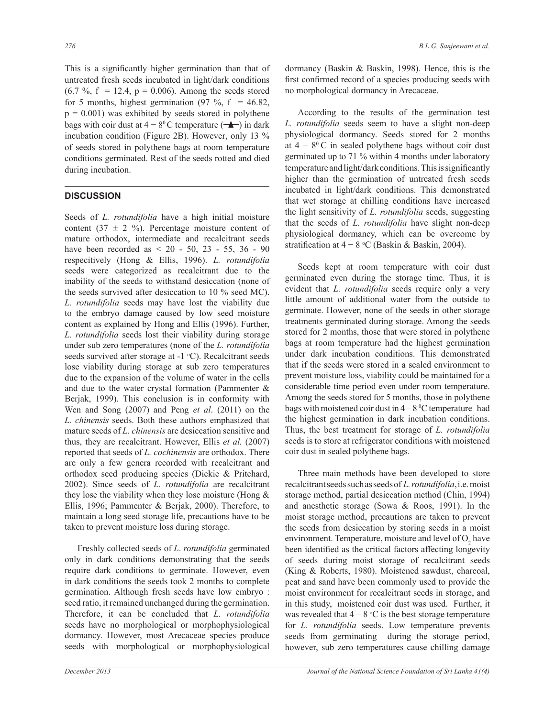This is a significantly higher germination than that of untreated fresh seeds incubated in light/dark conditions  $(6.7 \, \frac{\textdegree}{10006})$ ,  $(6.7 \, \frac{\textdegree}{10006})$ ,  $(6.7 \, \frac{\textdegree}{10006})$  among the seeds stored for 5 months, highest germination  $(97 \text{ %}, f = 46.82)$ ,  $p = 0.001$ ) was exhibited by seeds stored in polythene bags with coir dust at  $4 - 8^{\circ}$ C temperature  $($   $\blacktriangle$  $)$  in dark incubation condition (Figure 2B). However, only 13 % of seeds stored in polythene bags at room temperature conditions germinated. Rest of the seeds rotted and died during incubation.

## **DISCUSSION**

Seeds of *L. rotundifolia* have a high initial moisture content (37  $\pm$  2 %). Percentage moisture content of mature orthodox, intermediate and recalcitrant seeds have been recorded as < 20 - 50, 23 - 55, 36 - 90 respecitively (Hong & Ellis, 1996). *L. rotundifolia* seeds were categorized as recalcitrant due to the inability of the seeds to withstand desiccation (none of the seeds survived after desiccation to 10 % seed MC). *L. rotundifolia* seeds may have lost the viability due to the embryo damage caused by low seed moisture content as explained by Hong and Ellis (1996). Further, *L. rotundifolia* seeds lost their viability during storage under sub zero temperatures (none of the *L. rotundifolia* seeds survived after storage at  $-1$  °C). Recalcitrant seeds lose viability during storage at sub zero temperatures due to the expansion of the volume of water in the cells and due to the water crystal formation (Pammenter & Berjak, 1999). This conclusion is in conformity with Wen and Song (2007) and Peng *et al*. (2011) on the *L. chinensis* seeds. Both these authors emphasized that mature seeds of *L. chinensis* are desiccation sensitive and thus, they are recalcitrant. However, Ellis *et al.* (2007) reported that seeds of *L. cochinensis* are orthodox. There are only a few genera recorded with recalcitrant and orthodox seed producing species (Dickie & Pritchard, 2002). Since seeds of *L. rotundifolia* are recalcitrant they lose the viability when they lose moisture (Hong  $\&$ Ellis, 1996; Pammenter & Berjak, 2000). Therefore, to maintain a long seed storage life, precautions have to be taken to prevent moisture loss during storage.

 Freshly collected seeds of *L*. *rotundifolia* germinated only in dark conditions demonstrating that the seeds require dark conditions to germinate. However, even in dark conditions the seeds took 2 months to complete germination. Although fresh seeds have low embryo : seed ratio, it remained unchanged during the germination. Therefore, it can be concluded that *L. rotundifolia* seeds have no morphological or morphophysiological dormancy. However, most Arecaceae species produce seeds with morphological or morphophysiological dormancy (Baskin & Baskin, 1998). Hence, this is the first confirmed record of a species producing seeds with no morphological dormancy in Arecaceae.

 According to the results of the germination test *L. rotundifolia* seeds seem to have a slight non-deep physiological dormancy. Seeds stored for 2 months at  $4 - 8^{\circ}$  C in sealed polythene bags without coir dust germinated up to 71 % within 4 months under laboratory temperature and light/dark conditions. This is significantly higher than the germination of untreated fresh seeds incubated in light/dark conditions. This demonstrated that wet storage at chilling conditions have increased the light sensitivity of *L. rotundifolia* seeds, suggesting that the seeds of *L. rotundifolia* have slight non-deep physiological dormancy, which can be overcome by stratification at  $4 - 8$  °C (Baskin & Baskin, 2004).

 Seeds kept at room temperature with coir dust germinated even during the storage time. Thus, it is evident that *L. rotundifolia* seeds require only a very little amount of additional water from the outside to germinate. However, none of the seeds in other storage treatments germinated during storage. Among the seeds stored for 2 months, those that were stored in polythene bags at room temperature had the highest germination under dark incubation conditions. This demonstrated that if the seeds were stored in a sealed environment to prevent moisture loss, viability could be maintained for a considerable time period even under room temperature. Among the seeds stored for 5 months, those in polythene bags with moistened coir dust in  $4-8$  °C temperature had the highest germination in dark incubation conditions. Thus, the best treatment for storage of *L. rotundifolia* seeds is to store at refrigerator conditions with moistened coir dust in sealed polythene bags.

 Three main methods have been developed to store recalcitrant seeds such as seeds of *L. rotundifolia*, i.e. moist storage method, partial desiccation method (Chin, 1994) and anesthetic storage (Sowa & Roos, 1991). In the moist storage method, precautions are taken to prevent the seeds from desiccation by storing seeds in a moist environment. Temperature, moisture and level of  $O_2$  have been identified as the critical factors affecting longevity of seeds during moist storage of recalcitrant seeds (King & Roberts, 1980). Moistened sawdust, charcoal, peat and sand have been commonly used to provide the moist environment for recalcitrant seeds in storage, and in this study, moistened coir dust was used. Further, it was revealed that  $4 - 8$  °C is the best storage temperature for *L. rotundifolia* seeds. Low temperature prevents seeds from germinating during the storage period, however, sub zero temperatures cause chilling damage